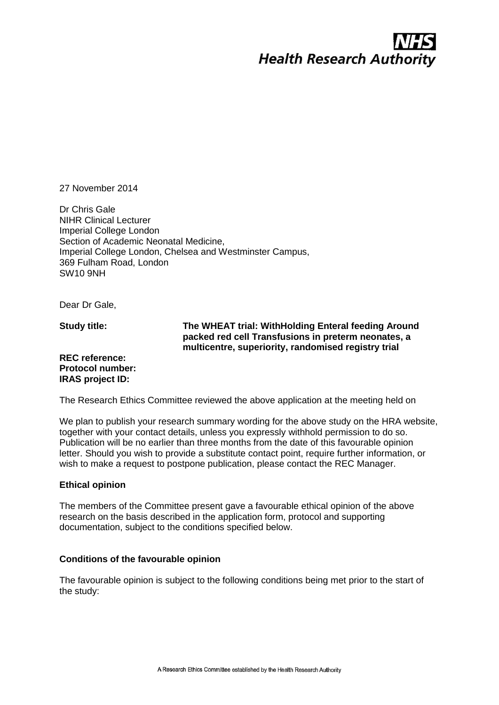# **Health Research Authority**

27 November 2014

Dr Chris Gale NIHR Clinical Lecturer Imperial College London Section of Academic Neonatal Medicine, Imperial College London, Chelsea and Westminster Campus, 369 Fulham Road, London SW10 9NH

Dear Dr Gale,

**Study title:**

# **The WHEAT trial: WithHolding Enteral feeding Around packed red cell Transfusions in preterm neonates, a multicentre, superiority, randomised registry trial**

# **REC reference: Protocol number: IRAS project ID:**

The Research Ethics Committee reviewed the above application at the meeting held on

We plan to publish your research summary wording for the above study on the HRA website, together with your contact details, unless you expressly withhold permission to do so. Publication will be no earlier than three months from the date of this favourable opinion letter. Should you wish to provide a substitute contact point, require further information, or wish to make a request to postpone publication, please contact the REC Manager.

#### **Ethical opinion**

The members of the Committee present gave a favourable ethical opinion of the above research on the basis described in the application form, protocol and supporting documentation, subject to the conditions specified below.

#### **Conditions of the favourable opinion**

The favourable opinion is subject to the following conditions being met prior to the start of the study: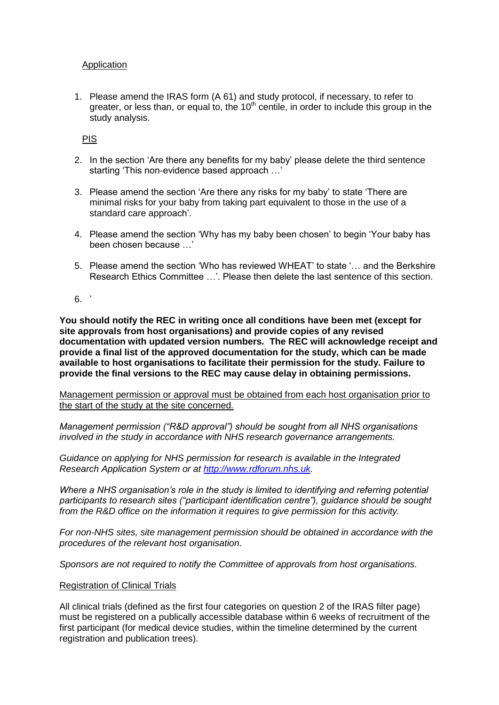# Application

1. Please amend the IRAS form (A 61) and study protocol, if necessary, to refer to greater, or less than, or equal to, the  $10<sup>th</sup>$  centile, in order to include this group in the study analysis.

# PIS

- 2. In the section 'Are there any benefits for my baby' please delete the third sentence starting 'This non-evidence based approach …'
- 3. Please amend the section 'Are there any risks for my baby' to state 'There are minimal risks for your baby from taking part equivalent to those in the use of a standard care approach'.
- 4. Please amend the section 'Why has my baby been chosen' to begin 'Your baby has been chosen because …'
- 5. Please amend the section 'Who has reviewed WHEAT' to state '… and the Berkshire Research Ethics Committee …'. Please then delete the last sentence of this section.
- $6.$ '

**You should notify the REC in writing once all conditions have been met (except for site approvals from host organisations) and provide copies of any revised documentation with updated version numbers. The REC will acknowledge receipt and provide a final list of the approved documentation for the study, which can be made available to host organisations to facilitate their permission for the study. Failure to provide the final versions to the REC may cause delay in obtaining permissions.** 

Management permission or approval must be obtained from each host organisation prior to the start of the study at the site concerned.

*Management permission ("R&D approval") should be sought from all NHS organisations involved in the study in accordance with NHS research governance arrangements.* 

*Guidance on applying for NHS permission for research is available in the Integrated Research Application System or at [http://www.rdforum.nhs.uk.](http://www.rdforum.nhs.uk/)* 

*Where a NHS organisation's role in the study is limited to identifying and referring potential participants to research sites ("participant identification centre"), guidance should be sought from the R&D office on the information it requires to give permission for this activity.* 

*For non-NHS sites, site management permission should be obtained in accordance with the procedures of the relevant host organisation.* 

*Sponsors are not required to notify the Committee of approvals from host organisations.* 

#### Registration of Clinical Trials

All clinical trials (defined as the first four categories on question 2 of the IRAS filter page) must be registered on a publically accessible database within 6 weeks of recruitment of the first participant (for medical device studies, within the timeline determined by the current registration and publication trees).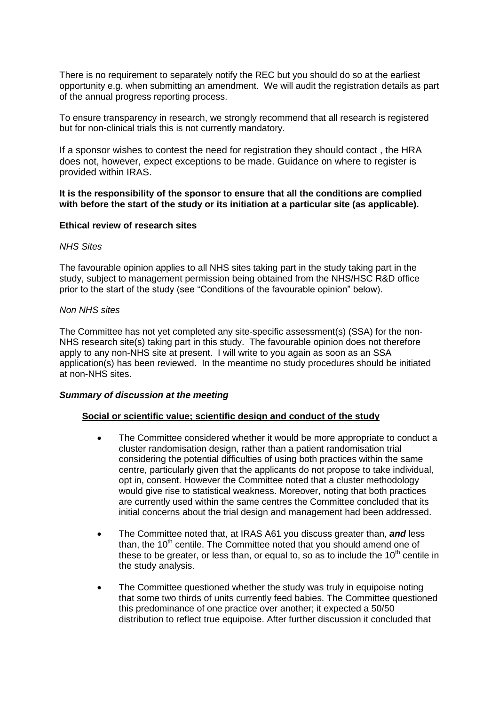There is no requirement to separately notify the REC but you should do so at the earliest opportunity e.g. when submitting an amendment. We will audit the registration details as part of the annual progress reporting process.

To ensure transparency in research, we strongly recommend that all research is registered but for non-clinical trials this is not currently mandatory.

If a sponsor wishes to contest the need for registration they should contact , the HRA does not, however, expect exceptions to be made. Guidance on where to register is provided within IRAS.

### **It is the responsibility of the sponsor to ensure that all the conditions are complied with before the start of the study or its initiation at a particular site (as applicable).**

#### **Ethical review of research sites**

#### *NHS Sites*

The favourable opinion applies to all NHS sites taking part in the study taking part in the study, subject to management permission being obtained from the NHS/HSC R&D office prior to the start of the study (see "Conditions of the favourable opinion" below).

#### *Non NHS sites*

The Committee has not yet completed any site-specific assessment(s) (SSA) for the non-NHS research site(s) taking part in this study. The favourable opinion does not therefore apply to any non-NHS site at present. I will write to you again as soon as an SSA application(s) has been reviewed. In the meantime no study procedures should be initiated at non-NHS sites.

#### *Summary of discussion at the meeting*

#### **Social or scientific value; scientific design and conduct of the study**

- The Committee considered whether it would be more appropriate to conduct a cluster randomisation design, rather than a patient randomisation trial considering the potential difficulties of using both practices within the same centre, particularly given that the applicants do not propose to take individual, opt in, consent. However the Committee noted that a cluster methodology would give rise to statistical weakness. Moreover, noting that both practices are currently used within the same centres the Committee concluded that its initial concerns about the trial design and management had been addressed.
- The Committee noted that, at IRAS A61 you discuss greater than, *and* less than, the  $10<sup>th</sup>$  centile. The Committee noted that you should amend one of these to be greater, or less than, or equal to, so as to include the  $10<sup>th</sup>$  centile in the study analysis.
- The Committee questioned whether the study was truly in equipoise noting that some two thirds of units currently feed babies. The Committee questioned this predominance of one practice over another; it expected a 50/50 distribution to reflect true equipoise. After further discussion it concluded that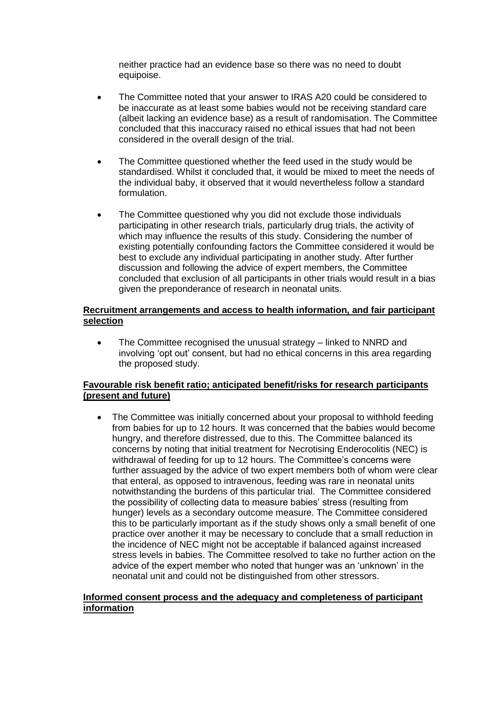neither practice had an evidence base so there was no need to doubt equipoise.

- The Committee noted that your answer to IRAS A20 could be considered to be inaccurate as at least some babies would not be receiving standard care (albeit lacking an evidence base) as a result of randomisation. The Committee concluded that this inaccuracy raised no ethical issues that had not been considered in the overall design of the trial.
- The Committee questioned whether the feed used in the study would be standardised. Whilst it concluded that, it would be mixed to meet the needs of the individual baby, it observed that it would nevertheless follow a standard formulation.
- The Committee questioned why you did not exclude those individuals participating in other research trials, particularly drug trials, the activity of which may influence the results of this study. Considering the number of existing potentially confounding factors the Committee considered it would be best to exclude any individual participating in another study. After further discussion and following the advice of expert members, the Committee concluded that exclusion of all participants in other trials would result in a bias given the preponderance of research in neonatal units.

# **Recruitment arrangements and access to health information, and fair participant selection**

 The Committee recognised the unusual strategy – linked to NNRD and involving 'opt out' consent, but had no ethical concerns in this area regarding the proposed study.

# **Favourable risk benefit ratio; anticipated benefit/risks for research participants (present and future)**

 The Committee was initially concerned about your proposal to withhold feeding from babies for up to 12 hours. It was concerned that the babies would become hungry, and therefore distressed, due to this. The Committee balanced its concerns by noting that initial treatment for Necrotising Enderocolitis (NEC) is withdrawal of feeding for up to 12 hours. The Committee's concerns were further assuaged by the advice of two expert members both of whom were clear that enteral, as opposed to intravenous, feeding was rare in neonatal units notwithstanding the burdens of this particular trial. The Committee considered the possibility of collecting data to measure babies' stress (resulting from hunger) levels as a secondary outcome measure. The Committee considered this to be particularly important as if the study shows only a small benefit of one practice over another it may be necessary to conclude that a small reduction in the incidence of NEC might not be acceptable if balanced against increased stress levels in babies. The Committee resolved to take no further action on the advice of the expert member who noted that hunger was an 'unknown' in the neonatal unit and could not be distinguished from other stressors.

#### **Informed consent process and the adequacy and completeness of participant information**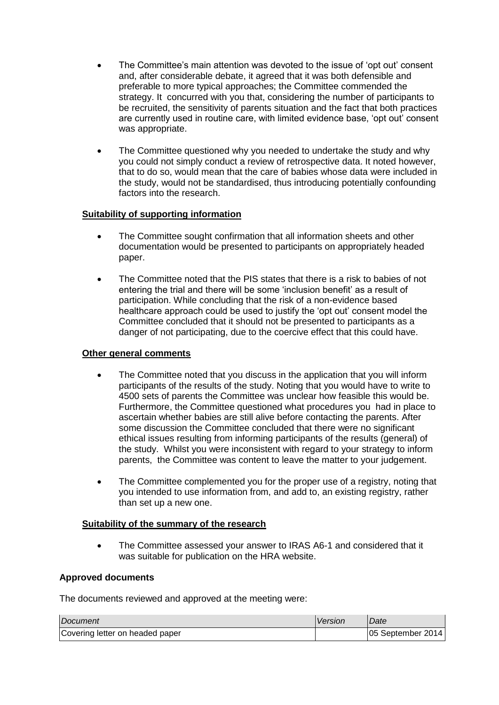- The Committee's main attention was devoted to the issue of 'opt out' consent and, after considerable debate, it agreed that it was both defensible and preferable to more typical approaches; the Committee commended the strategy. It concurred with you that, considering the number of participants to be recruited, the sensitivity of parents situation and the fact that both practices are currently used in routine care, with limited evidence base, 'opt out' consent was appropriate.
- The Committee questioned why you needed to undertake the study and why you could not simply conduct a review of retrospective data. It noted however, that to do so, would mean that the care of babies whose data were included in the study, would not be standardised, thus introducing potentially confounding factors into the research.

# **Suitability of supporting information**

- The Committee sought confirmation that all information sheets and other documentation would be presented to participants on appropriately headed paper.
- The Committee noted that the PIS states that there is a risk to babies of not entering the trial and there will be some 'inclusion benefit' as a result of participation. While concluding that the risk of a non-evidence based healthcare approach could be used to justify the 'opt out' consent model the Committee concluded that it should not be presented to participants as a danger of not participating, due to the coercive effect that this could have.

# **Other general comments**

- The Committee noted that you discuss in the application that you will inform participants of the results of the study. Noting that you would have to write to 4500 sets of parents the Committee was unclear how feasible this would be. Furthermore, the Committee questioned what procedures you had in place to ascertain whether babies are still alive before contacting the parents. After some discussion the Committee concluded that there were no significant ethical issues resulting from informing participants of the results (general) of the study. Whilst you were inconsistent with regard to your strategy to inform parents, the Committee was content to leave the matter to your judgement.
- The Committee complemented you for the proper use of a registry, noting that you intended to use information from, and add to, an existing registry, rather than set up a new one.

# **Suitability of the summary of the research**

 The Committee assessed your answer to IRAS A6-1 and considered that it was suitable for publication on the HRA website.

# **Approved documents**

The documents reviewed and approved at the meeting were:

| <i>Document</i>                 | Version | Date               |
|---------------------------------|---------|--------------------|
| Covering letter on headed paper |         | 105 September 2014 |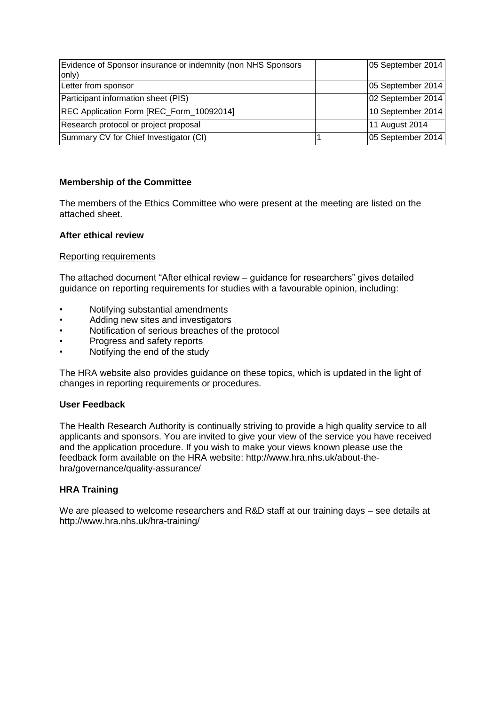| Evidence of Sponsor insurance or indemnity (non NHS Sponsors<br>only) | 05 September 2014 |
|-----------------------------------------------------------------------|-------------------|
| Letter from sponsor                                                   | 05 September 2014 |
| Participant information sheet (PIS)                                   | 02 September 2014 |
| REC Application Form [REC_Form_10092014]                              | 10 September 2014 |
| Research protocol or project proposal                                 | 11 August 2014    |
| Summary CV for Chief Investigator (CI)                                | 05 September 2014 |

# **Membership of the Committee**

The members of the Ethics Committee who were present at the meeting are listed on the attached sheet.

# **After ethical review**

### Reporting requirements

The attached document "After ethical review – guidance for researchers" gives detailed guidance on reporting requirements for studies with a favourable opinion, including:

- Notifying substantial amendments
- Adding new sites and investigators
- Notification of serious breaches of the protocol
- Progress and safety reports
- Notifying the end of the study

The HRA website also provides guidance on these topics, which is updated in the light of changes in reporting requirements or procedures.

#### **User Feedback**

The Health Research Authority is continually striving to provide a high quality service to all applicants and sponsors. You are invited to give your view of the service you have received and the application procedure. If you wish to make your views known please use the feedback form available on the HRA website: http://www.hra.nhs.uk/about-thehra/governance/quality-assurance/

# **HRA Training**

We are pleased to welcome researchers and R&D staff at our training days – see details at http://www.hra.nhs.uk/hra-training/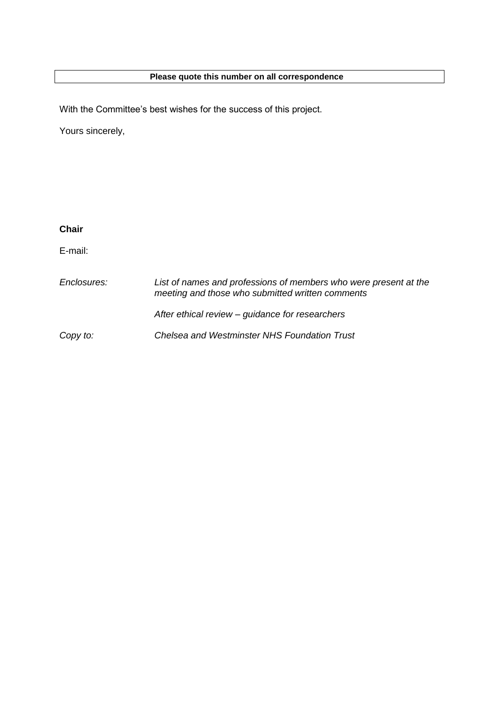# **Please quote this number on all correspondence**

With the Committee's best wishes for the success of this project.

Yours sincerely,

| <b>Chair</b> |                                                                                                                      |
|--------------|----------------------------------------------------------------------------------------------------------------------|
| E-mail:      |                                                                                                                      |
| Enclosures:  | List of names and professions of members who were present at the<br>meeting and those who submitted written comments |
|              | After ethical review – guidance for researchers                                                                      |
| Copy to:     | Chelsea and Westminster NHS Foundation Trust                                                                         |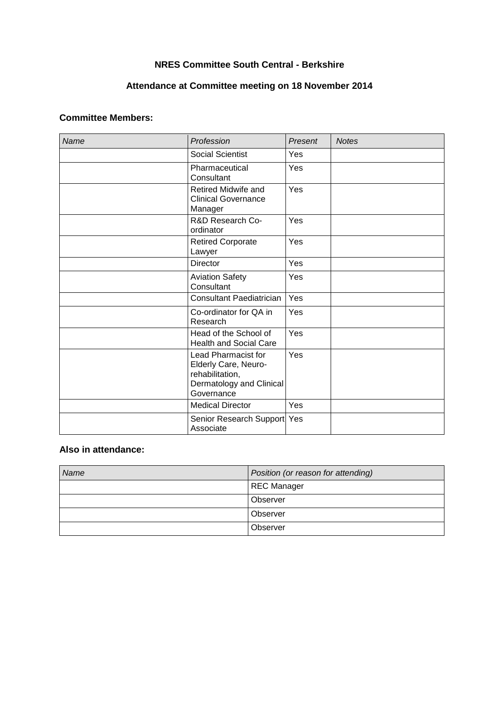# **NRES Committee South Central - Berkshire**

# **Attendance at Committee meeting on 18 November 2014**

# **Committee Members:**

| <b>Name</b> | Profession                                                                                               | Present | <b>Notes</b> |
|-------------|----------------------------------------------------------------------------------------------------------|---------|--------------|
|             | <b>Social Scientist</b>                                                                                  | Yes     |              |
|             | Pharmaceutical<br>Consultant                                                                             | Yes     |              |
|             | Retired Midwife and<br><b>Clinical Governance</b><br>Manager                                             | Yes     |              |
|             | R&D Research Co-<br>ordinator                                                                            | Yes     |              |
|             | <b>Retired Corporate</b><br>Lawyer                                                                       | Yes     |              |
|             | <b>Director</b>                                                                                          | Yes     |              |
|             | <b>Aviation Safety</b><br>Consultant                                                                     | Yes     |              |
|             | <b>Consultant Paediatrician</b>                                                                          | Yes     |              |
|             | Co-ordinator for QA in<br>Research                                                                       | Yes     |              |
|             | Head of the School of<br><b>Health and Social Care</b>                                                   | Yes     |              |
|             | Lead Pharmacist for<br>Elderly Care, Neuro-<br>rehabilitation,<br>Dermatology and Clinical<br>Governance | Yes     |              |
|             | <b>Medical Director</b>                                                                                  | Yes     |              |
|             | Senior Research Support Yes<br>Associate                                                                 |         |              |

# **Also in attendance:**

| Name | Position (or reason for attending) |  |
|------|------------------------------------|--|
|      | REC Manager                        |  |
|      | Observer                           |  |
|      | Observer                           |  |
|      | Observer                           |  |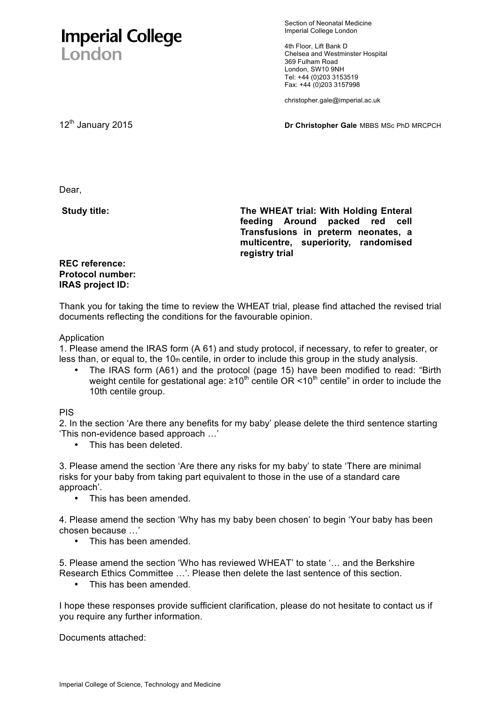# **Imperial College** London

Section of Neonatal Medicine Imperial College London

4th Floor, Lift Bank D Chelsea and Westminster Hospital 369 Fulham Road London, SW10 9NH Tel: +44 (0)203 3153519 Fax: +44 (0)203 3157998

christopher.gale@imperial.ac.uk

12th January 2015 **Dr Christopher Gale** MBBS MSc PhD MRCPCH

Dear,

**Study title: The WHEAT trial: With Holding Enteral feeding Around packed red cell Transfusions in preterm neonates, a multicentre, superiority, randomised registry trial** 

# **REC reference: Protocol number: IRAS project ID:**

Thank you for taking the time to review the WHEAT trial, please find attached the revised trial documents reflecting the conditions for the favourable opinion.

# Application

1. Please amend the IRAS form (A 61) and study protocol, if necessary, to refer to greater, or less than, or equal to, the  $10<sub>th</sub>$  centile, in order to include this group in the study analysis.

• The IRAS form (A61) and the protocol (page 15) have been modified to read: "Birth weight centile for gestational age:  $\geq 10^{th}$  centile OR < 10<sup>th</sup> centile" in order to include the 10th centile group.

# PIS

2. In the section 'Are there any benefits for my baby' please delete the third sentence starting 'This non-evidence based approach …'

• This has been deleted.

3. Please amend the section 'Are there any risks for my baby' to state 'There are minimal risks for your baby from taking part equivalent to those in the use of a standard care approach'.

• This has been amended.

4. Please amend the section 'Why has my baby been chosen' to begin 'Your baby has been chosen because …'

• This has been amended.

5. Please amend the section 'Who has reviewed WHEAT' to state '… and the Berkshire Research Ethics Committee …'. Please then delete the last sentence of this section.

• This has been amended.

I hope these responses provide sufficient clarification, please do not hesitate to contact us if you require any further information.

Documents attached: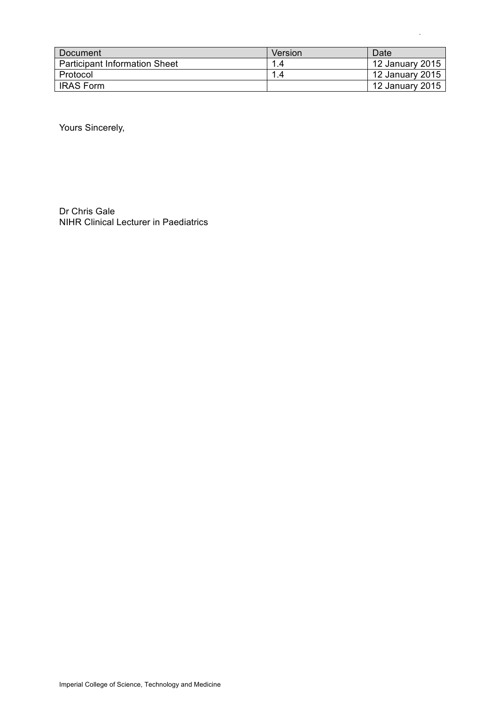| Document                             | Version | Date            |
|--------------------------------------|---------|-----------------|
| <b>Participant Information Sheet</b> |         | 12 January 2015 |
| <b>Protocol</b>                      |         | 12 January 2015 |
| <b>IRAS Form</b>                     |         | 12 January 2015 |

.

Yours Sincerely,

Dr Chris Gale NIHR Clinical Lecturer in Paediatrics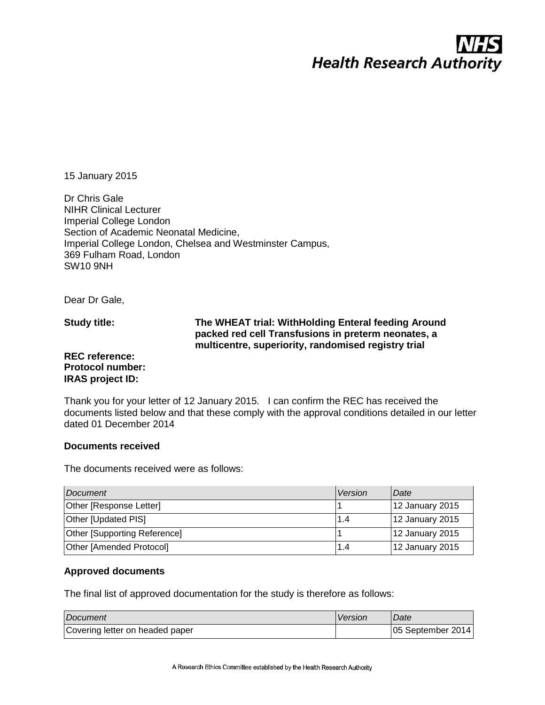# **Health Research Authority**

15 January 2015

Dr Chris Gale NIHR Clinical Lecturer Imperial College London Section of Academic Neonatal Medicine, Imperial College London, Chelsea and Westminster Campus, 369 Fulham Road, London SW10 9NH

Dear Dr Gale,

**Study title:**

# **The WHEAT trial: WithHolding Enteral feeding Around packed red cell Transfusions in preterm neonates, a multicentre, superiority, randomised registry trial**

### **REC reference: Protocol number: IRAS project ID:**

Thank you for your letter of 12 January 2015. I can confirm the REC has received the documents listed below and that these comply with the approval conditions detailed in our letter dated 01 December 2014

# **Documents received**

The documents received were as follows:

| Document                            | Version | l Date          |
|-------------------------------------|---------|-----------------|
| <b>Other [Response Letter]</b>      |         | 12 January 2015 |
| <b>Other [Updated PIS]</b>          | 1.4     | 12 January 2015 |
| <b>Other [Supporting Reference]</b> |         | 12 January 2015 |
| <b>Other [Amended Protocol]</b>     | 1.4     | 12 January 2015 |

# **Approved documents**

The final list of approved documentation for the study is therefore as follows:

| Document                        | Version | Date              |
|---------------------------------|---------|-------------------|
| Covering letter on headed paper |         | 05 September 2014 |